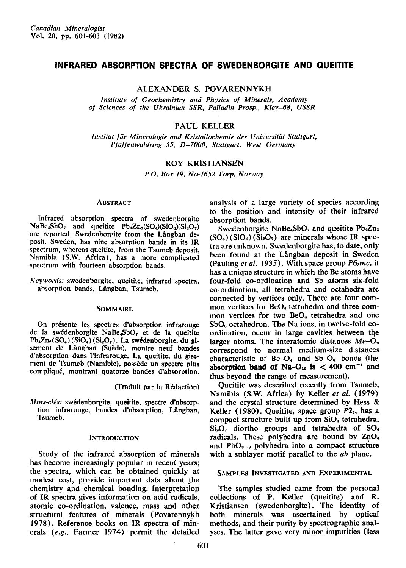# INFRARED ABSORPTION SPECTRA OF SWEDENBORGITE AND OUEITITE

ALEXANDER S. POVARENNYKH

Institute of Geochemistry and Physics of Minerals, Academy of Sciences of the Ukrainian SSR, Palladin Prosp., Kiev-68, USSR

# PAUL KELLER

Institut für Mineralogie and Kristallochemie der Universität Stuttgart, Pfaffenwaldring 55, D-7000, Stuttgart, West Germany

## ROY KRISTIANSEN

P.O. Box 19, No-1652 Torp, Norway

### **ABSTRACT**

Infrared absorption spectra of swedenborgite  $NaBe<sub>4</sub>SbO<sub>7</sub>$  and queitite  $Pb<sub>4</sub>Zn<sub>2</sub>(SO<sub>4</sub>)(SiO<sub>4</sub>)(Si<sub>2</sub>O<sub>7</sub>)$ are reported. Swedenborgite from the Långban deposit. Sweden. has nine absorption bands in its IR spectrum, whereas queitite, from the Tsumeb deposit, Namibia (S.W. Africa), has a more complicated spectrum with fourteen absorption bands.

Keywords: swedenborgite, queitite, infrared spectra, absorption bands, Långban, Tsumeb.

## Sommaire

On présente les spectres d'absorption infrarouge de la swédenborgite NaBe<sub>4</sub>SbO<sub>7</sub> et de la queitite  $Pb_4Zn_2(SO_4)$  (SiO<sub>4</sub>) (Si<sub>2</sub>O<sub>7</sub>). La swédenborgite, du gisement de Långban (Suède), montre neuf bandes d'absorption dans l'infrarouge. La queitite, du gisement de Tsumeb (Namibie), possède un spectre plus compliqu6, montrant quatorze bandes d'absorption.

(Traduit par la Rédaction)

Mots-clés: swédenborgite, queitite, spectre d'absorption infrarouge, bandes d'absorption, Långban, Tsumeb.

## **INTRODUCTION**

Study of the infrared absorption of minerals has become increasingly popular in recent years; the spectra, which can be obtained quickly at modest cost, provide important data about the chemistry and chemical bonding. lnterpretation of IR spectra gives information on acid radicals, atomic co-ordination, valence, mass and other structural features of minerals (Povarennykh 1978). Reference books on IR spectra of minerals (e.9., Farmer 1974) permit the detailed

analysis of a large variety of species according to the position and intensity of their infrared absorption bands.

Swedenborgite NaBe<sub>4</sub>SbO<sub>7</sub> and queitite Pb<sub>4</sub>Zn<sub>2</sub>  $(SO<sub>4</sub>) (SiO<sub>4</sub>) (Si<sub>2</sub>O<sub>7</sub>)$  are minerals whose IR spectra are unknown. Swedenborgite has, to date, only been found at the Långban deposit in Sweden (Pauling *et al.* 1935), With space group  $P6<sub>smc</sub>$ , it has a unique structure in which the Be atoms have four-fold co-ordination and Sb atoms six-fold co-ordination; all tetrahedra and octahedra are connected by vertices only. There are four common vertices for BeO<sub>4</sub> tetrahedra and three common vertices for two BeO<sub>4</sub> tetrahedra and one SbOs octahedron. The Na ions, in twelve-fold coordination, occur in large cavities between the larger atoms. The interatomic distances  $Me-O<sub>n</sub>$ correspond to normal medium-size distances characteristic of  $Be-O_4$  and  $Sb-O_6$  bonds (the absorption band of Na- $O_{12}$  is  $< 400$  cm<sup>-1</sup> and thus beyond the range of measurement).

Queitite was described recently from Tsumeb, Namibia (S.W. Africa) by Keller et al. (1979) and the crystal structure determined by Hess & Keller (1980). Queitite, space group  $P2<sub>1</sub>$ , has a compact structure built up from  $SiO<sub>4</sub>$  tetrahedra,  $Si<sub>2</sub>O<sub>7</sub>$  diortho groups and tetrahedra of  $SO<sub>4</sub>$ radicals. These polyhedra are bound by  $ZnO<sub>4</sub>$ and  $PbO_{8-9}$  polyhedra into a compact structure with a sublayer motif parallel to the ab plane.

## SAMPLES INVESTIGATED AND EXPERIMENTAL

The samples studied came from the personal collections of P. Keller (queitite) and R. Kristiansen (swedenborgite). The identity of both minerals was ascertained by optical methods, and their purity by spectrographic analyses. The latter gave very minor impurities (less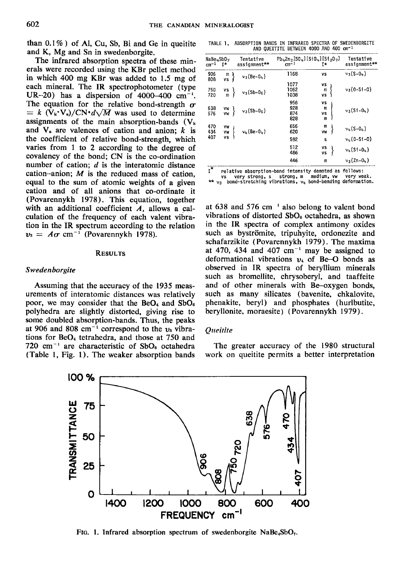than  $0.1\%$ ) of Al, Cu, Sb, Bi and Ge in queitite and K, Mg and Sn in swedenborgite.

The infrared absorption spectra of these minerals were recorded using the KBr pellet method in which 400 mg KBr was added to 1.5 mg of each mineral. The IR spectrophotometer (type UR-20) has a dispersion of  $4000-400$  cm<sup>-1</sup>. The equation for the relative bond-strength  $\sigma$  $= k \ (V_k \cdot V_a) / CN \cdot d \sqrt{M}$  was used to determine assignments of the main absorption-bands  $(V_k)$ and  $V_a$  are valences of cation and anion;  $k$  is the coefficient of relative bond-strength, which varies from 1 to 2 according to the degree of covalency of the bond; CN is the co-ordination number of cation;  $d$  is the interatomic distance cation-anion;  $M$  is the reduced mass of cation, equal to the sum of atomic weights of a given cation and of all anions that co-ordinate it (Povarennykh 1978). This equation, together with an additional coefficient  $\boldsymbol{A}$ , allows a calculation of the frequency of each valent vibration in the tR spectrum according to the relation  $v_3 = A\sigma$  cm<sup>-1</sup> (Povarennykh 1978).

#### **RESULTS**

## Swedenborgite

Assuming that the accuracy of the 1935 measurements of interatomic distances was relatively poor, we may consider that the  $BeO<sub>4</sub>$  and  $SbO<sub>6</sub>$ polyhedra are slightly distorted, giving rise to some doubled absorption-bands. Thus, the peaks at 906 and 808 cm<sup>-1</sup> correspond to the  $v_3$  vibrations for  $BeO<sub>4</sub>$  tetrahedra, and those at 750 and 720 cm<sup>-1</sup> are characteristic of  $SbO_6$  octahedra (Table l, Fig. l). The weaker absorption bands

TABLE 1, ABSORPTION BANDS IN INFRARED SPECTRA OF SWEDENBORGITE AND QUEITITE BETWEEN 4000 AND 400 cm<sup>-1</sup>

| NaBe⊿SbO <sub>7</sub><br>cm-1 | Ĩ*             | Tentative<br>assignment** | Pb <sub>4</sub> Zn <sub>2</sub> ISO <sub>4</sub> IISiO <sub>4</sub> IISi <sub>2</sub> O <sub>7</sub> I<br>$cm-1$ | Ţ*                 | Tentative<br>assignment** |
|-------------------------------|----------------|---------------------------|------------------------------------------------------------------------------------------------------------------|--------------------|---------------------------|
| 906<br>808                    | m<br>٧S        | $v_3(Be-04)$              | 1168                                                                                                             | ٧S                 | $v_3(S - 04)$             |
| 750<br>720                    | ٧S<br>m        | $v_3(Sb-0_6)$             | 1077<br>1062<br>1038                                                                                             | ٧S<br>m<br>٧S      | $v_3(0-Si-0)$             |
| 638<br>576                    | VW<br>VW       | $v_3(Sb-0_6)$             | 956<br>928<br>874<br>828                                                                                         | ٧S<br>m<br>٧S<br>m | $v_3(S1 - 04)$            |
| 470<br>434<br>407             | VW<br>VW<br>٧s | $v_4$ (Be-04)             | 656<br>620                                                                                                       | m<br>W             | $v_{4}(S-0_{4})$          |
|                               |                |                           | 592                                                                                                              | s                  | $v_{h}(0 - S1 - 0)$       |
|                               |                |                           | 512<br>486                                                                                                       | ٧S<br>٧S           | $v_{4}(S1-0_{4})$         |
|                               |                |                           | 446                                                                                                              | m                  | $v_3(Zn-0_4)$             |
| т.                            |                |                           |                                                                                                                  |                    |                           |

I<sup>\*</sup> relative absorption-band intensity denoted as follows:<br>vs very strong, s strong, m medium, yw very weak

vs very strong, s strong, m medium, vw very weak.<br>\*\* v<sub>3</sub> bond-stretching vibrations, v<sub>4</sub> bond-bending deformation.

at 638 and 576 cm 'also belong to valent bond vibrations of distorted SbOs octahedra, as shown in the IR spectra of complex antimony oxides such as byströmite, tripuhyite, ordonezite and schafarzikite (Povarennykh 1979). The maxima at 470, 434 and 407  $cm^{-1}$  may be assigned to deformational vibrations  $v_4$  of Be-O bonds as observed in IR spectra of beryllium minerals such as bromellite, chrysoberyl, and taaffeite and of other minerals with Be-oxygen bonds, such as many silicates (bavenite, chkalovite, phenakite, beryl) and phosphates (hurlbutite, beryllonite, moraesite) (Povarennykh 1979).

## **Oueitite**

The greater accuracy of the 1980 structural work on queitite permits a better interpretation



FIG. 1. Infrared absorption spectrum of swedenborgite  $N_{\rm a}$ Be<sub>4</sub>SbO<sub>7</sub>.